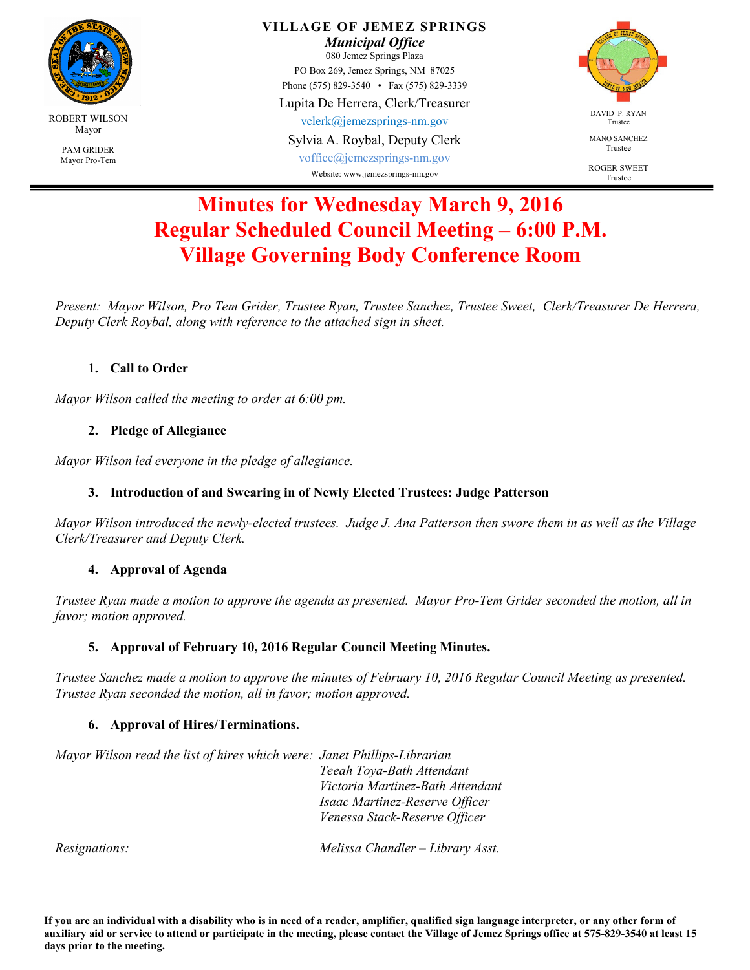

**VILLAGE OF JEMEZ SPRINGS** 

*Municipal Office*  080 Jemez Springs Plaza PO Box 269, Jemez Springs, NM 87025

Phone (575) 829-3540 • Fax (575) 829-3339

Lupita De Herrera, Clerk/Treasurer

vclerk@jemezsprings-nm.gov

Sylvia A. Roybal, Deputy Clerk

voffice@jemezsprings-nm.gov Website: www.jemezsprings-nm.gov



MANO SANCHEZ Trustee

ROGER SWEET Trustee

# **Minutes for Wednesday March 9, 2016 Regular Scheduled Council Meeting – 6:00 P.M. Village Governing Body Conference Room**

*Present: Mayor Wilson, Pro Tem Grider, Trustee Ryan, Trustee Sanchez, Trustee Sweet, Clerk/Treasurer De Herrera, Deputy Clerk Roybal, along with reference to the attached sign in sheet.* 

## **1. Call to Order**

*Mayor Wilson called the meeting to order at 6:00 pm.* 

## **2. Pledge of Allegiance**

*Mayor Wilson led everyone in the pledge of allegiance.* 

## **3. Introduction of and Swearing in of Newly Elected Trustees: Judge Patterson**

*Mayor Wilson introduced the newly-elected trustees. Judge J. Ana Patterson then swore them in as well as the Village Clerk/Treasurer and Deputy Clerk.* 

## **4. Approval of Agenda**

*Trustee Ryan made a motion to approve the agenda as presented. Mayor Pro-Tem Grider seconded the motion, all in favor; motion approved.* 

## **5. Approval of February 10, 2016 Regular Council Meeting Minutes.**

*Trustee Sanchez made a motion to approve the minutes of February 10, 2016 Regular Council Meeting as presented. Trustee Ryan seconded the motion, all in favor; motion approved.* 

## **6. Approval of Hires/Terminations.**

*Mayor Wilson read the list of hires which were: Janet Phillips-Librarian Teeah Toya-Bath Attendant Victoria Martinez-Bath Attendant Isaac Martinez-Reserve Officer Venessa Stack-Reserve Officer* 

*Resignations: Melissa Chandler – Library Asst.*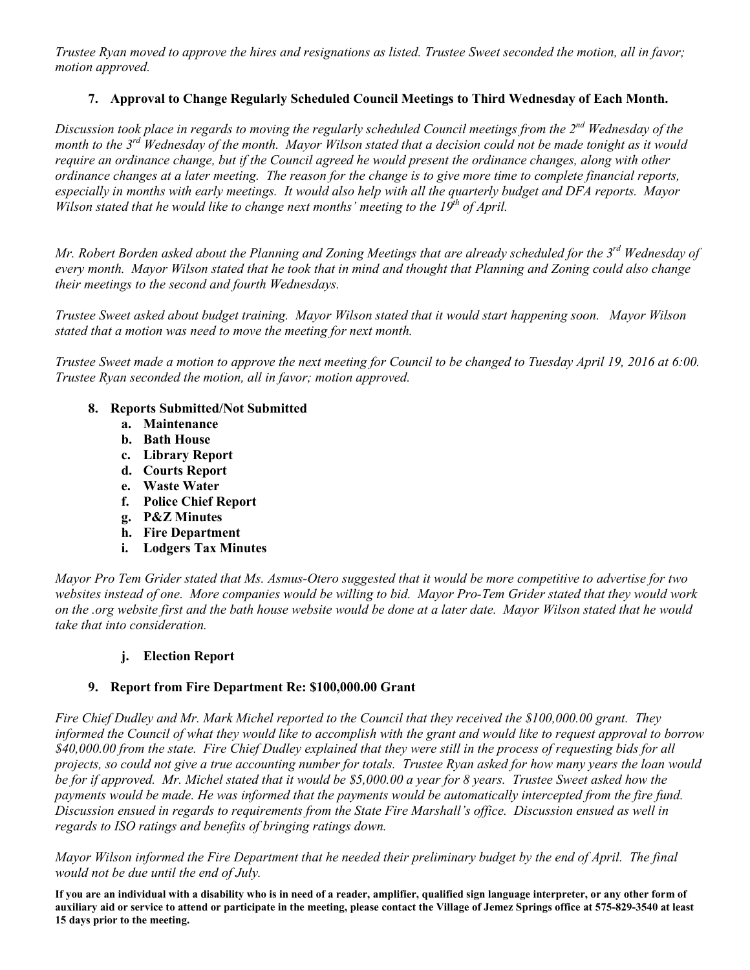*Trustee Ryan moved to approve the hires and resignations as listed. Trustee Sweet seconded the motion, all in favor; motion approved.* 

### **7. Approval to Change Regularly Scheduled Council Meetings to Third Wednesday of Each Month.**

*Discussion took place in regards to moving the regularly scheduled Council meetings from the 2nd Wednesday of the month to the 3rd Wednesday of the month. Mayor Wilson stated that a decision could not be made tonight as it would require an ordinance change, but if the Council agreed he would present the ordinance changes, along with other ordinance changes at a later meeting. The reason for the change is to give more time to complete financial reports, especially in months with early meetings. It would also help with all the quarterly budget and DFA reports. Mayor Wilson stated that he would like to change next months' meeting to the 19th of April.* 

*Mr. Robert Borden asked about the Planning and Zoning Meetings that are already scheduled for the 3rd Wednesday of every month. Mayor Wilson stated that he took that in mind and thought that Planning and Zoning could also change their meetings to the second and fourth Wednesdays.*

*Trustee Sweet asked about budget training. Mayor Wilson stated that it would start happening soon. Mayor Wilson stated that a motion was need to move the meeting for next month.* 

*Trustee Sweet made a motion to approve the next meeting for Council to be changed to Tuesday April 19, 2016 at 6:00. Trustee Ryan seconded the motion, all in favor; motion approved.* 

#### **8. Reports Submitted/Not Submitted**

- **a. Maintenance**
- **b. Bath House**
- **c. Library Report**
- **d. Courts Report**
- **e. Waste Water**
- **f. Police Chief Report**
- **g. P&Z Minutes**
- **h. Fire Department**
- **i. Lodgers Tax Minutes**

*Mayor Pro Tem Grider stated that Ms. Asmus-Otero suggested that it would be more competitive to advertise for two websites instead of one. More companies would be willing to bid. Mayor Pro-Tem Grider stated that they would work on the .org website first and the bath house website would be done at a later date. Mayor Wilson stated that he would take that into consideration.* 

#### **j. Election Report**

#### **9. Report from Fire Department Re: \$100,000.00 Grant**

*Fire Chief Dudley and Mr. Mark Michel reported to the Council that they received the \$100,000.00 grant. They informed the Council of what they would like to accomplish with the grant and would like to request approval to borrow \$40,000.00 from the state. Fire Chief Dudley explained that they were still in the process of requesting bids for all projects, so could not give a true accounting number for totals. Trustee Ryan asked for how many years the loan would be for if approved. Mr. Michel stated that it would be \$5,000.00 a year for 8 years. Trustee Sweet asked how the*  payments would be made. He was informed that the payments would be automatically intercepted from the fire fund. *Discussion ensued in regards to requirements from the State Fire Marshall's office. Discussion ensued as well in regards to ISO ratings and benefits of bringing ratings down.* 

*Mayor Wilson informed the Fire Department that he needed their preliminary budget by the end of April. The final would not be due until the end of July.* 

**If you are an individual with a disability who is in need of a reader, amplifier, qualified sign language interpreter, or any other form of auxiliary aid or service to attend or participate in the meeting, please contact the Village of Jemez Springs office at 575-829-3540 at least 15 days prior to the meeting.**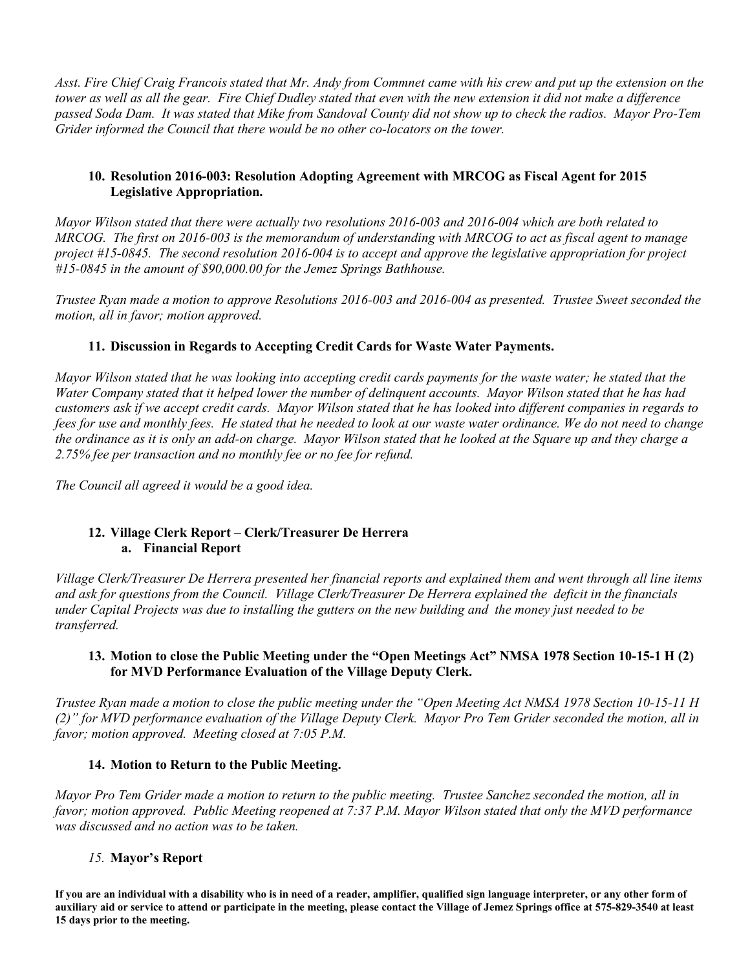*Asst. Fire Chief Craig Francois stated that Mr. Andy from Commnet came with his crew and put up the extension on the tower as well as all the gear. Fire Chief Dudley stated that even with the new extension it did not make a difference passed Soda Dam. It was stated that Mike from Sandoval County did not show up to check the radios. Mayor Pro-Tem Grider informed the Council that there would be no other co-locators on the tower.* 

#### **10. Resolution 2016-003: Resolution Adopting Agreement with MRCOG as Fiscal Agent for 2015 Legislative Appropriation.**

*Mayor Wilson stated that there were actually two resolutions 2016-003 and 2016-004 which are both related to MRCOG. The first on 2016-003 is the memorandum of understanding with MRCOG to act as fiscal agent to manage project #15-0845. The second resolution 2016-004 is to accept and approve the legislative appropriation for project #15-0845 in the amount of \$90,000.00 for the Jemez Springs Bathhouse.* 

*Trustee Ryan made a motion to approve Resolutions 2016-003 and 2016-004 as presented. Trustee Sweet seconded the motion, all in favor; motion approved.* 

#### **11. Discussion in Regards to Accepting Credit Cards for Waste Water Payments.**

*Mayor Wilson stated that he was looking into accepting credit cards payments for the waste water; he stated that the Water Company stated that it helped lower the number of delinquent accounts. Mayor Wilson stated that he has had customers ask if we accept credit cards. Mayor Wilson stated that he has looked into different companies in regards to fees for use and monthly fees. He stated that he needed to look at our waste water ordinance. We do not need to change the ordinance as it is only an add-on charge. Mayor Wilson stated that he looked at the Square up and they charge a 2.75% fee per transaction and no monthly fee or no fee for refund.* 

*The Council all agreed it would be a good idea.* 

#### **12. Village Clerk Report – Clerk/Treasurer De Herrera a. Financial Report**

*Village Clerk/Treasurer De Herrera presented her financial reports and explained them and went through all line items and ask for questions from the Council. Village Clerk/Treasurer De Herrera explained the deficit in the financials under Capital Projects was due to installing the gutters on the new building and the money just needed to be transferred.* 

#### **13. Motion to close the Public Meeting under the "Open Meetings Act" NMSA 1978 Section 10-15-1 H (2) for MVD Performance Evaluation of the Village Deputy Clerk.**

*Trustee Ryan made a motion to close the public meeting under the "Open Meeting Act NMSA 1978 Section 10-15-11 H (2)" for MVD performance evaluation of the Village Deputy Clerk. Mayor Pro Tem Grider seconded the motion, all in favor; motion approved. Meeting closed at 7:05 P.M.* 

#### **14. Motion to Return to the Public Meeting.**

*Mayor Pro Tem Grider made a motion to return to the public meeting. Trustee Sanchez seconded the motion, all in favor; motion approved. Public Meeting reopened at 7:37 P.M. Mayor Wilson stated that only the MVD performance was discussed and no action was to be taken.* 

#### *15.* **Mayor's Report**

**If you are an individual with a disability who is in need of a reader, amplifier, qualified sign language interpreter, or any other form of auxiliary aid or service to attend or participate in the meeting, please contact the Village of Jemez Springs office at 575-829-3540 at least 15 days prior to the meeting.**